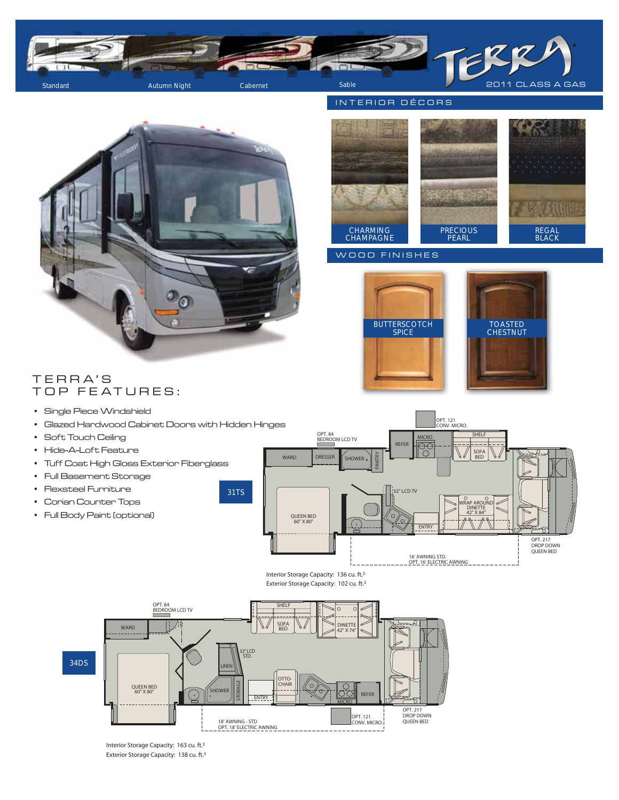

## INTERIOR DÉCORS



CHARMING CHAMPAGNE PRECIOUS PEARL REGAL BLACK

#### WOOD FINISHES





# TERRA'S TOP FEATURES:

- Single Piece Windshield
- Glazed Hardwood Cabinet Doors with Hidden Hinges
- Soft Touch Ceiling
- Hide-A-Loft Feature
- Tuff Coat High Gloss Exterior Fiberglass
- Full Basement Storage
- Flexsteel Furniture
- Corian Counter Tops
- Full Body Paint (optional)







Interior Storage Capacity: 163 cu. ft.3 Exterior Storage Capacity: 138 cu. ft.3